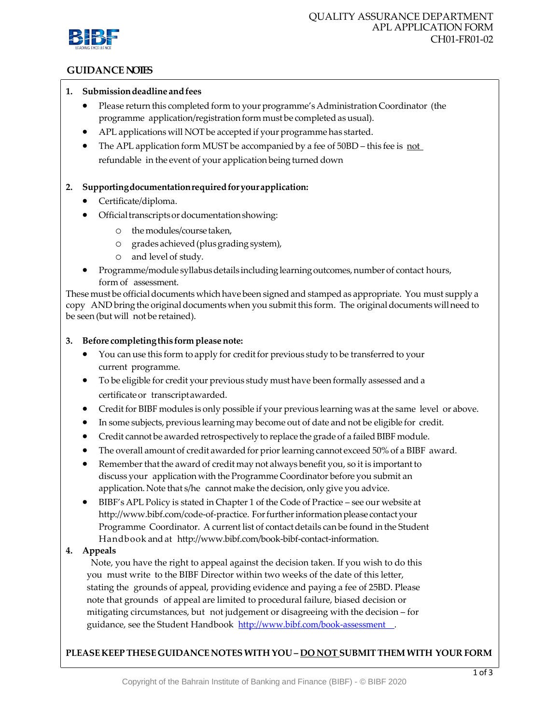

# **GUIDANCE NOTES**

### **1. Submissiondeadline andfees**

- Please return this completed form to your programme's Administration Coordinator (the programme application/registration form must be completed as usual).
- APL applications will NOT be accepted if your programme has started.
- The APL application form MUST be accompanied by a fee of 50BD this fee is not refundable in the event of your application being turned down

# **2. Supportingdocumentationrequiredforyourapplication:**

- Certificate/diploma.
- Official transcripts or documentation showing:
	- o themodules/coursetaken,
	- o grades achieved(plusgradingsystem),
	- o and level of study.
- Programme/module syllabus details including learning outcomes, number of contact hours, form of assessment.

These must be official documents which have been signed and stamped as appropriate. You must supply a copy AND bring the original documents when you submit this form. The original documents will need to be seen (but will not be retained).

### **3. Before completingthis form pleasenote:**

- You can use this form to apply for credit for previous study to be transferred to your current programme.
- To be eligible for credit your previous study must have been formally assessed and a certificateor transcriptawarded.
- Credit for BIBF modules is only possible if your previous learning was at the same level or above.
- In some subjects, previous learning may become out of date and not be eligible for credit.
- $\bullet$  Credit cannot be awarded retrospectively to replace the grade of a failed BIBF module.
- The overall amount of credit awarded for prior learning cannot exceed 50% of a BIBF award.
- Remember that the award of credit may not always benefit you, so it is important to discuss your application with the Programme Coordinator before you submit an application.Note that s/he cannot make the decision, only give you advice.
- BIBF's APL Policy is stated in Chapter 1 of the Code of Practice see our website a[t](http://www.bibf.com/code-of-practice) [http://www.bibf.com/code-of-practice.](http://www.bibf.com/code-of-practice) For further information please contact your Programme Coordinator. A current list of contact details can be found in the Student Handbook andat [http://www.bibf.com/book-bibf-contact-information.](http://www.bibf.com/book-bibf-contact-information)

# **4. Appeals**

Note, you have the right to appeal against the decision taken. If you wish to do this you must write to the BIBF Director within two weeks of the date of this letter, stating the grounds of appeal, providing evidence and paying a fee of 25BD. Please note that grounds of appeal are limited to procedural failure, biased decision or mitigating circumstances, but not judgement or disagreeing with the decision – for guidance, see the Student Handbook http://www.bibf.com/book-assessment.

# **PLEASEKEEP THESEGUIDANCE NOTESWITH YOU – DO NOT SUBMITTHEMWITH YOUR FORM**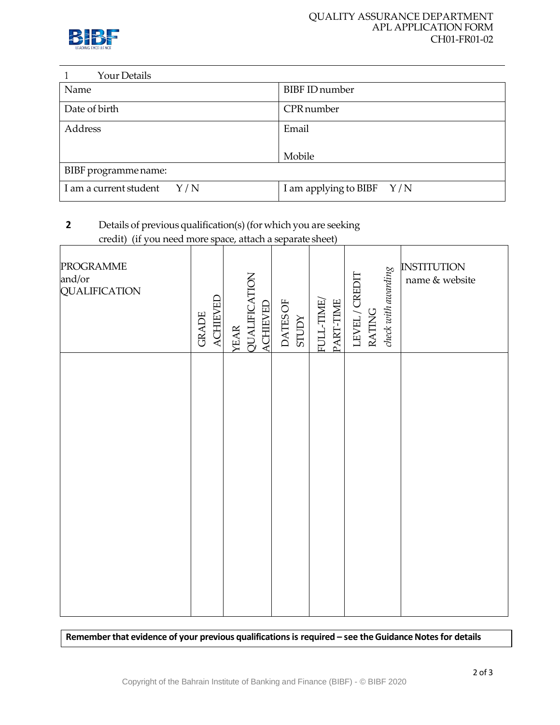

| <b>Your Details</b>           |                             |
|-------------------------------|-----------------------------|
| Name                          | <b>BIBF ID number</b>       |
| Date of birth                 | <b>CPR</b> number           |
| Address                       | Email                       |
|                               | Mobile                      |
| BIBF programme name:          |                             |
| I am a current student<br>Y/N | I am applying to BIBF $Y/N$ |

# **2** Details of previous qualification(s) (for which you are seeking credit) (if you need more space, attach a separate sheet)

| <b>PROGRAMME</b><br>and/or<br>QUALIFICATION | <b>ACHIEVED</b><br><b>GRADE</b> | QUALIFICATION<br><b>ACHIEVED</b><br><b>YEAR</b> | DATES OF<br><b>STUDY</b> | FULL-TIME/<br>PART-TIME | check with awarding<br>LEVEL/CREDIT<br><b>RATING</b> | <b>INSTITUTION</b><br>name & website |
|---------------------------------------------|---------------------------------|-------------------------------------------------|--------------------------|-------------------------|------------------------------------------------------|--------------------------------------|
|                                             |                                 |                                                 |                          |                         |                                                      |                                      |
|                                             |                                 |                                                 |                          |                         |                                                      |                                      |

Remember that evidence of your previous qualifications is required – see the Guidance Notes for details